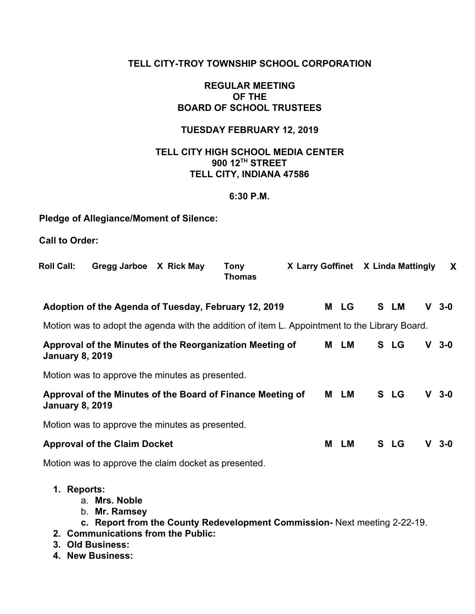#### **TELL CITY-TROY TOWNSHIP SCHOOL CORPORATION**

#### **REGULAR MEETING OF THE BOARD OF SCHOOL TRUSTEES**

## **TUESDAY FEBRUARY 12, 2019**

#### **TELL CITY HIGH SCHOOL MEDIA CENTER 900 12TH STREET TELL CITY, INDIANA 47586**

#### **6:30 P.M.**

### **Pledge of Allegiance/Moment of Silence:**

**Call to Order:**

| <b>Roll Call:</b>                                                                    | Gregg Jarboe X Rick May                                                                                                                                                                   |  | <b>Tony</b><br><b>Thomas</b> | X Larry Goffinet X Linda Mattingly |      |      |    | X       |
|--------------------------------------------------------------------------------------|-------------------------------------------------------------------------------------------------------------------------------------------------------------------------------------------|--|------------------------------|------------------------------------|------|------|----|---------|
|                                                                                      | Adoption of the Agenda of Tuesday, February 12, 2019                                                                                                                                      |  |                              |                                    | M LG | S LM |    | $V$ 3-0 |
|                                                                                      | Motion was to adopt the agenda with the addition of item L. Appointment to the Library Board.                                                                                             |  |                              |                                    |      |      |    |         |
| Approval of the Minutes of the Reorganization Meeting of<br><b>January 8, 2019</b>   |                                                                                                                                                                                           |  |                              |                                    |      | S LG | V. | $3 - 0$ |
|                                                                                      | Motion was to approve the minutes as presented.                                                                                                                                           |  |                              |                                    |      |      |    |         |
| Approval of the Minutes of the Board of Finance Meeting of<br><b>January 8, 2019</b> |                                                                                                                                                                                           |  |                              |                                    |      | S LG |    | $V$ 3-0 |
|                                                                                      | Motion was to approve the minutes as presented.                                                                                                                                           |  |                              |                                    |      |      |    |         |
| <b>Approval of the Claim Docket</b>                                                  |                                                                                                                                                                                           |  |                              |                                    |      | S LG | V. | $3 - 0$ |
|                                                                                      | Motion was to approve the claim docket as presented.                                                                                                                                      |  |                              |                                    |      |      |    |         |
| 1. Reports:                                                                          | a. Mrs. Noble<br>b. Mr. Ramsey<br>c. Report from the County Redevelopment Commission- Next meeting 2-22-19.<br>2. Communications from the Public:<br>3. Old Business:<br>4. New Business: |  |                              |                                    |      |      |    |         |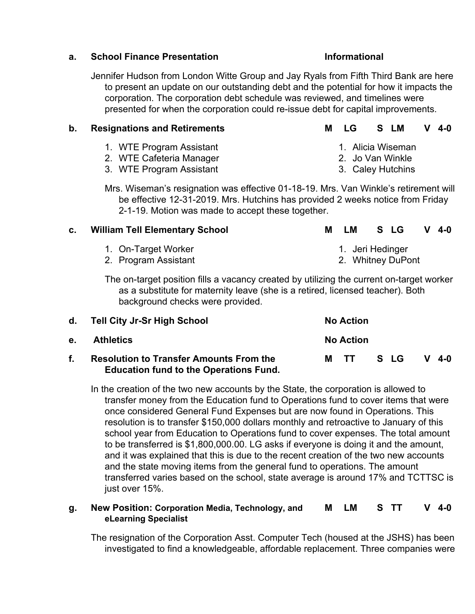#### **a. School Finance Presentation Informational**

Jennifer Hudson from London Witte Group and Jay Ryals from Fifth Third Bank are here to present an update on our outstanding debt and the potential for how it impacts the corporation. The corporation debt schedule was reviewed, and timelines were presented for when the corporation could re-issue debt for capital improvements.

#### **b. Resignations and Retirements M LG S LM V 4-0**

- 1. WTE Program Assistant
- 2. WTE Cafeteria Manager
- 3. WTE Program Assistant

Mrs. Wiseman's resignation was effective 01-18-19. Mrs. Van Winkle's retirement will be effective 12-31-2019. Mrs. Hutchins has provided 2 weeks notice from Friday 2-1-19. Motion was made to accept these together.

# **c. William Tell Elementary School M LM S LG V 4-0**

- 1. On-Target Worker
- 2. Program Assistant

The on-target position fills a vacancy created by utilizing the current on-target worker as a substitute for maternity leave (she is a retired, licensed teacher). Both background checks were provided.

|         | d. Tell City Jr-Sr High School                                                                  | <b>No Action</b> |      |         |
|---------|-------------------------------------------------------------------------------------------------|------------------|------|---------|
| $e_{1}$ | Athletics                                                                                       | <b>No Action</b> |      |         |
| f.      | <b>Resolution to Transfer Amounts From the</b><br><b>Education fund to the Operations Fund.</b> | M TT             | S LG | $V$ 4-0 |

In the creation of the two new accounts by the State, the corporation is allowed to transfer money from the Education fund to Operations fund to cover items that were once considered General Fund Expenses but are now found in Operations. This resolution is to transfer \$150,000 dollars monthly and retroactive to January of this school year from Education to Operations fund to cover expenses. The total amount to be transferred is \$1,800,000.00. LG asks if everyone is doing it and the amount, and it was explained that this is due to the recent creation of the two new accounts and the state moving items from the general fund to operations. The amount transferred varies based on the school, state average is around 17% and TCTTSC is just over 15%.

#### **g. New Position: Corporation Media, Technology, and eLearning Specialist M LM S TT V 4-0**

The resignation of the Corporation Asst. Computer Tech (housed at the JSHS) has been investigated to find a knowledgeable, affordable replacement. Three companies were

- 1. Jeri Hedinger
- 2. Whitney DuPont
- 
- 1. Alicia Wiseman 2. Jo Van Winkle
	- 3. Caley Hutchins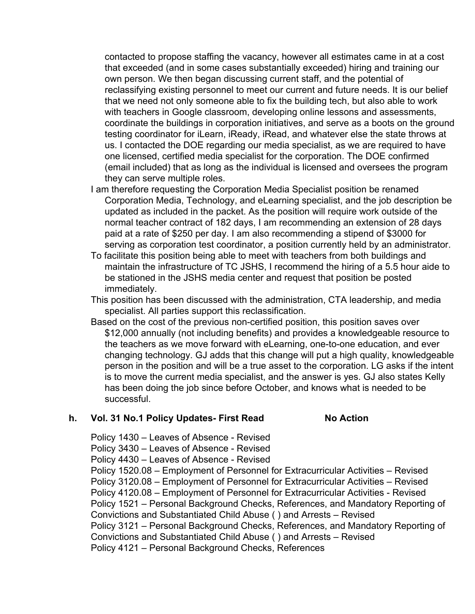contacted to propose staffing the vacancy, however all estimates came in at a cost that exceeded (and in some cases substantially exceeded) hiring and training our own person. We then began discussing current staff, and the potential of reclassifying existing personnel to meet our current and future needs. It is our belief that we need not only someone able to fix the building tech, but also able to work with teachers in Google classroom, developing online lessons and assessments, coordinate the buildings in corporation initiatives, and serve as a boots on the ground testing coordinator for iLearn, iReady, iRead, and whatever else the state throws at us. I contacted the DOE regarding our media specialist, as we are required to have one licensed, certified media specialist for the corporation. The DOE confirmed (email included) that as long as the individual is licensed and oversees the program they can serve multiple roles.

- I am therefore requesting the Corporation Media Specialist position be renamed Corporation Media, Technology, and eLearning specialist, and the job description be updated as included in the packet. As the position will require work outside of the normal teacher contract of 182 days, I am recommending an extension of 28 days paid at a rate of \$250 per day. I am also recommending a stipend of \$3000 for serving as corporation test coordinator, a position currently held by an administrator.
- To facilitate this position being able to meet with teachers from both buildings and maintain the infrastructure of TC JSHS, I recommend the hiring of a 5.5 hour aide to be stationed in the JSHS media center and request that position be posted immediately.
- This position has been discussed with the administration, CTA leadership, and media specialist. All parties support this reclassification.
- Based on the cost of the previous non-certified position, this position saves over \$12,000 annually (not including benefits) and provides a knowledgeable resource to the teachers as we move forward with eLearning, one-to-one education, and ever changing technology. GJ adds that this change will put a high quality, knowledgeable person in the position and will be a true asset to the corporation. LG asks if the intent is to move the current media specialist, and the answer is yes. GJ also states Kelly has been doing the job since before October, and knows what is needed to be successful.

#### **h. Vol. 31 No.1 Policy Updates- First Read No Action**

Policy 1430 – Leaves of Absence - Revised Policy 3430 – Leaves of Absence - Revised Policy 4430 – Leaves of Absence - Revised Policy 1520.08 – Employment of Personnel for Extracurricular Activities – Revised Policy 3120.08 – Employment of Personnel for Extracurricular Activities – Revised Policy 4120.08 – Employment of Personnel for Extracurricular Activities - Revised Policy 1521 – Personal Background Checks, References, and Mandatory Reporting of Convictions and Substantiated Child Abuse ( ) and Arrests – Revised Policy 3121 – Personal Background Checks, References, and Mandatory Reporting of Convictions and Substantiated Child Abuse ( ) and Arrests – Revised Policy 4121 – Personal Background Checks, References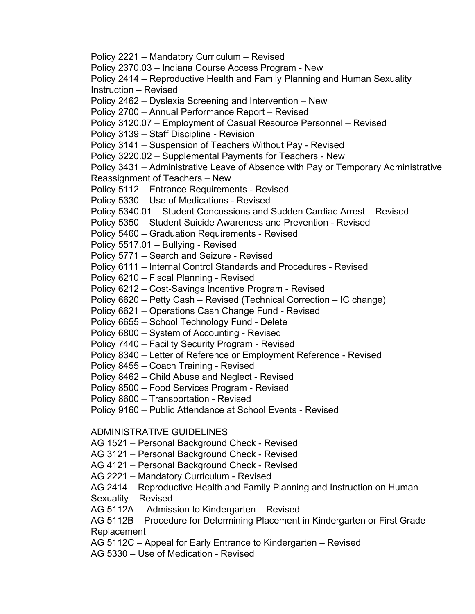Policy 2221 – Mandatory Curriculum – Revised Policy 2370.03 – Indiana Course Access Program - New Policy 2414 – Reproductive Health and Family Planning and Human Sexuality Instruction – Revised Policy 2462 – Dyslexia Screening and Intervention – New Policy 2700 – Annual Performance Report – Revised Policy 3120.07 – Employment of Casual Resource Personnel – Revised Policy 3139 – Staff Discipline - Revision Policy 3141 – Suspension of Teachers Without Pay - Revised Policy 3220.02 – Supplemental Payments for Teachers - New Policy 3431 – Administrative Leave of Absence with Pay or Temporary Administrative Reassignment of Teachers – New Policy 5112 – Entrance Requirements - Revised Policy 5330 – Use of Medications - Revised Policy 5340.01 – Student Concussions and Sudden Cardiac Arrest – Revised Policy 5350 – Student Suicide Awareness and Prevention - Revised Policy 5460 – Graduation Requirements - Revised Policy 5517.01 – Bullying - Revised Policy 5771 – Search and Seizure - Revised Policy 6111 – Internal Control Standards and Procedures - Revised Policy 6210 – Fiscal Planning - Revised Policy 6212 – Cost-Savings Incentive Program - Revised Policy 6620 – Petty Cash – Revised (Technical Correction – IC change) Policy 6621 – Operations Cash Change Fund - Revised Policy 6655 – School Technology Fund - Delete Policy 6800 – System of Accounting - Revised Policy 7440 – Facility Security Program - Revised Policy 8340 – Letter of Reference or Employment Reference - Revised Policy 8455 – Coach Training - Revised Policy 8462 – Child Abuse and Neglect - Revised Policy 8500 – Food Services Program - Revised Policy 8600 – Transportation - Revised Policy 9160 – Public Attendance at School Events - Revised ADMINISTRATIVE GUIDELINES AG 1521 – Personal Background Check - Revised AG 3121 – Personal Background Check - Revised AG 4121 – Personal Background Check - Revised AG 2221 – Mandatory Curriculum - Revised AG 2414 – Reproductive Health and Family Planning and Instruction on Human Sexuality – Revised

AG 5112A – Admission to Kindergarten – Revised

AG 5112B – Procedure for Determining Placement in Kindergarten or First Grade – Replacement

AG 5112C – Appeal for Early Entrance to Kindergarten – Revised

AG 5330 – Use of Medication - Revised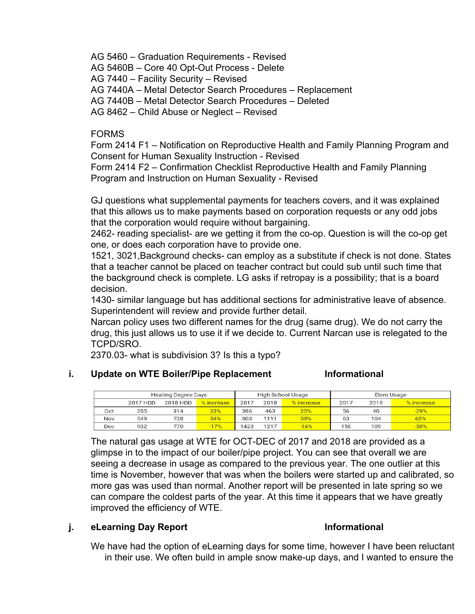AG 5460 – Graduation Requirements - Revised

AG 5460B – Core 40 Opt-Out Process - Delete

AG 7440 – Facility Security – Revised

AG 7440A – Metal Detector Search Procedures – Replacement

AG 7440B – Metal Detector Search Procedures – Deleted

AG 8462 – Child Abuse or Neglect – Revised

### FORMS

Form 2414 F1 – Notification on Reproductive Health and Family Planning Program and Consent for Human Sexuality Instruction - Revised

Form 2414 F2 – Confirmation Checklist Reproductive Health and Family Planning Program and Instruction on Human Sexuality - Revised

GJ questions what supplemental payments for teachers covers, and it was explained that this allows us to make payments based on corporation requests or any odd jobs that the corporation would require without bargaining.

2462- reading specialist- are we getting it from the co-op. Question is will the co-op get one, or does each corporation have to provide one.

1521, 3021,Background checks- can employ as a substitute if check is not done. States that a teacher cannot be placed on teacher contract but could sub until such time that the background check is complete. LG asks if retropay is a possibility; that is a board decision.

1430- similar language but has additional sections for administrative leave of absence. Superintendent will review and provide further detail.

Narcan policy uses two different names for the drug (same drug). We do not carry the drug, this just allows us to use it if we decide to. Current Narcan use is relegated to the TCPD/SRO.

2370.03- what is subdivision 3? Is this a typo?

#### **i. Update on WTE Boiler/Pipe Replacement Informational**

| <b>Heating Degree Days</b> |          |          |            | High School Usage |      |            | Elem Usage |      |            |  |
|----------------------------|----------|----------|------------|-------------------|------|------------|------------|------|------------|--|
|                            | 2017 HDD | 2018 HDD | % increase | 2017              | 2018 | % increase | 2017       | 2018 | % increase |  |
| Oct                        | 255      | 314      | 23%        | 386               | 463  | 20%        | 56         | 40   | $-29%$     |  |
| Nov                        | 549      | 738      | 34%        | 803               | 1111 | 38%        | 63         | 104  | 65%        |  |
| Dec                        | 932      | 770      | $-17%$     | 1423              | 1217 | $-14%$     | 156        | 109  | $-30%$     |  |

The natural gas usage at WTE for OCT-DEC of 2017 and 2018 are provided as a glimpse in to the impact of our boiler/pipe project. You can see that overall we are seeing a decrease in usage as compared to the previous year. The one outlier at this time is November, however that was when the boilers were started up and calibrated, so more gas was used than normal. Another report will be presented in late spring so we can compare the coldest parts of the year. At this time it appears that we have greatly improved the efficiency of WTE.

### **j. eLearning Day Report Informational**

We have had the option of eLearning days for some time, however I have been reluctant in their use. We often build in ample snow make-up days, and I wanted to ensure the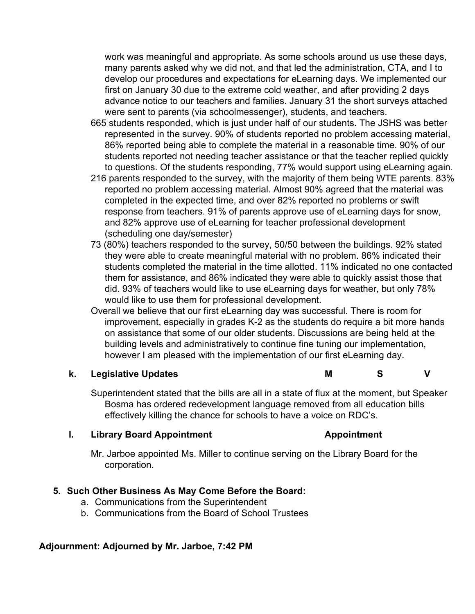work was meaningful and appropriate. As some schools around us use these days, many parents asked why we did not, and that led the administration, CTA, and I to develop our procedures and expectations for eLearning days. We implemented our first on January 30 due to the extreme cold weather, and after providing 2 days advance notice to our teachers and families. January 31 the short surveys attached were sent to parents (via schoolmessenger), students, and teachers.

- 665 students responded, which is just under half of our students. The JSHS was better represented in the survey. 90% of students reported no problem accessing material, 86% reported being able to complete the material in a reasonable time. 90% of our students reported not needing teacher assistance or that the teacher replied quickly to questions. Of the students responding, 77% would support using eLearning again.
- 216 parents responded to the survey, with the majority of them being WTE parents. 83% reported no problem accessing material. Almost 90% agreed that the material was completed in the expected time, and over 82% reported no problems or swift response from teachers. 91% of parents approve use of eLearning days for snow, and 82% approve use of eLearning for teacher professional development (scheduling one day/semester)
- 73 (80%) teachers responded to the survey, 50/50 between the buildings. 92% stated they were able to create meaningful material with no problem. 86% indicated their students completed the material in the time allotted. 11% indicated no one contacted them for assistance, and 86% indicated they were able to quickly assist those that did. 93% of teachers would like to use eLearning days for weather, but only 78% would like to use them for professional development.
- Overall we believe that our first eLearning day was successful. There is room for improvement, especially in grades K-2 as the students do require a bit more hands on assistance that some of our older students. Discussions are being held at the building levels and administratively to continue fine tuning our implementation, however I am pleased with the implementation of our first eLearning day.

### **k. Legislative Updates M S V**

Superintendent stated that the bills are all in a state of flux at the moment, but Speaker Bosma has ordered redevelopment language removed from all education bills effectively killing the chance for schools to have a voice on RDC's.

### **l. Library Board Appointment Appointment**

Mr. Jarboe appointed Ms. Miller to continue serving on the Library Board for the corporation.

### **5. Such Other Business As May Come Before the Board:**

- a. Communications from the Superintendent
- b. Communications from the Board of School Trustees

### **Adjournment: Adjourned by Mr. Jarboe, 7:42 PM**